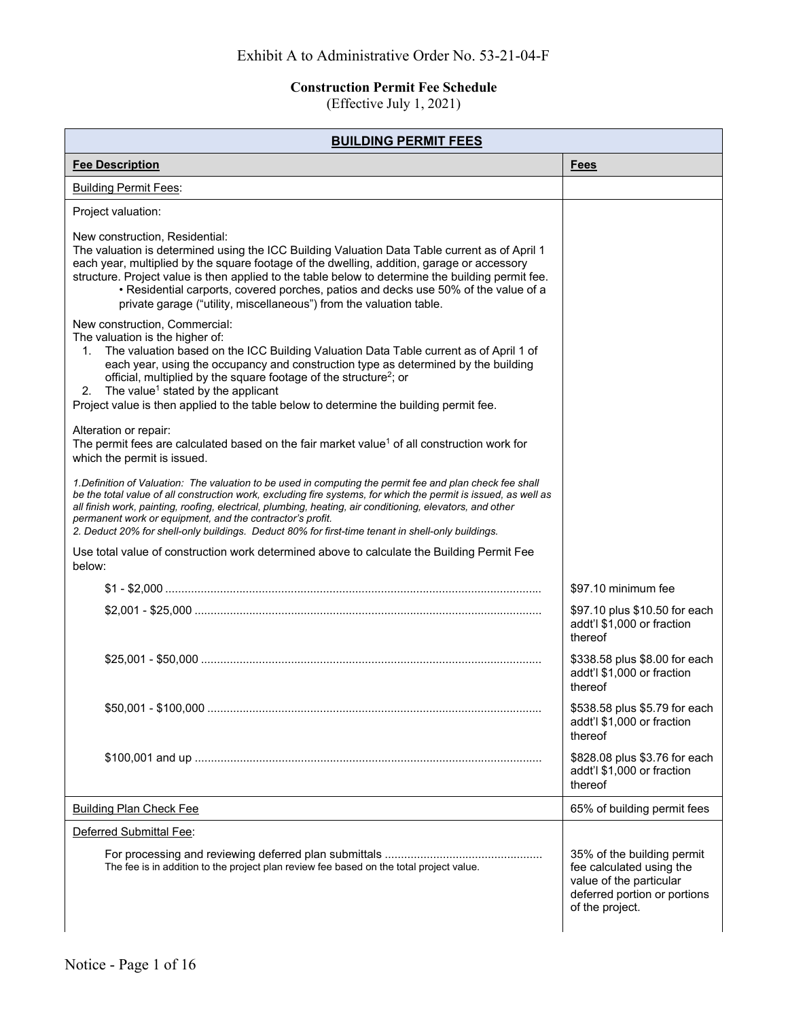## **Construction Permit Fee Schedule**

(Effective July 1, 2021)

| <b>BUILDING PERMIT FEES</b>                                                                                                                                                                                                                                                                                                                                                                                                                                                                                 |                                                                                                                                      |
|-------------------------------------------------------------------------------------------------------------------------------------------------------------------------------------------------------------------------------------------------------------------------------------------------------------------------------------------------------------------------------------------------------------------------------------------------------------------------------------------------------------|--------------------------------------------------------------------------------------------------------------------------------------|
| <b>Fee Description</b>                                                                                                                                                                                                                                                                                                                                                                                                                                                                                      | <b>Fees</b>                                                                                                                          |
| <b>Building Permit Fees:</b>                                                                                                                                                                                                                                                                                                                                                                                                                                                                                |                                                                                                                                      |
| Project valuation:                                                                                                                                                                                                                                                                                                                                                                                                                                                                                          |                                                                                                                                      |
| New construction, Residential:<br>The valuation is determined using the ICC Building Valuation Data Table current as of April 1<br>each year, multiplied by the square footage of the dwelling, addition, garage or accessory<br>structure. Project value is then applied to the table below to determine the building permit fee.<br>• Residential carports, covered porches, patios and decks use 50% of the value of a<br>private garage ("utility, miscellaneous") from the valuation table.            |                                                                                                                                      |
| New construction, Commercial:<br>The valuation is the higher of:<br>The valuation based on the ICC Building Valuation Data Table current as of April 1 of<br>1.<br>each year, using the occupancy and construction type as determined by the building<br>official, multiplied by the square footage of the structure <sup>2</sup> ; or<br>The value <sup>1</sup> stated by the applicant<br>2.<br>Project value is then applied to the table below to determine the building permit fee.                    |                                                                                                                                      |
| Alteration or repair:<br>The permit fees are calculated based on the fair market value <sup>1</sup> of all construction work for<br>which the permit is issued.                                                                                                                                                                                                                                                                                                                                             |                                                                                                                                      |
| 1. Definition of Valuation: The valuation to be used in computing the permit fee and plan check fee shall<br>be the total value of all construction work, excluding fire systems, for which the permit is issued, as well as<br>all finish work, painting, roofing, electrical, plumbing, heating, air conditioning, elevators, and other<br>permanent work or equipment, and the contractor's profit.<br>2. Deduct 20% for shell-only buildings. Deduct 80% for first-time tenant in shell-only buildings. |                                                                                                                                      |
| Use total value of construction work determined above to calculate the Building Permit Fee<br>below:                                                                                                                                                                                                                                                                                                                                                                                                        |                                                                                                                                      |
|                                                                                                                                                                                                                                                                                                                                                                                                                                                                                                             | \$97.10 minimum fee                                                                                                                  |
|                                                                                                                                                                                                                                                                                                                                                                                                                                                                                                             | \$97.10 plus \$10.50 for each<br>addt'l \$1,000 or fraction<br>thereof                                                               |
|                                                                                                                                                                                                                                                                                                                                                                                                                                                                                                             | \$338.58 plus \$8.00 for each<br>addt'l \$1,000 or fraction<br>thereof                                                               |
|                                                                                                                                                                                                                                                                                                                                                                                                                                                                                                             | \$538.58 plus \$5.79 for each<br>addt'l \$1,000 or fraction<br>thereof                                                               |
|                                                                                                                                                                                                                                                                                                                                                                                                                                                                                                             | \$828.08 plus \$3.76 for each<br>addt'l \$1,000 or fraction<br>thereof                                                               |
| <b>Building Plan Check Fee</b>                                                                                                                                                                                                                                                                                                                                                                                                                                                                              | 65% of building permit fees                                                                                                          |
| Deferred Submittal Fee:                                                                                                                                                                                                                                                                                                                                                                                                                                                                                     |                                                                                                                                      |
| The fee is in addition to the project plan review fee based on the total project value.                                                                                                                                                                                                                                                                                                                                                                                                                     | 35% of the building permit<br>fee calculated using the<br>value of the particular<br>deferred portion or portions<br>of the project. |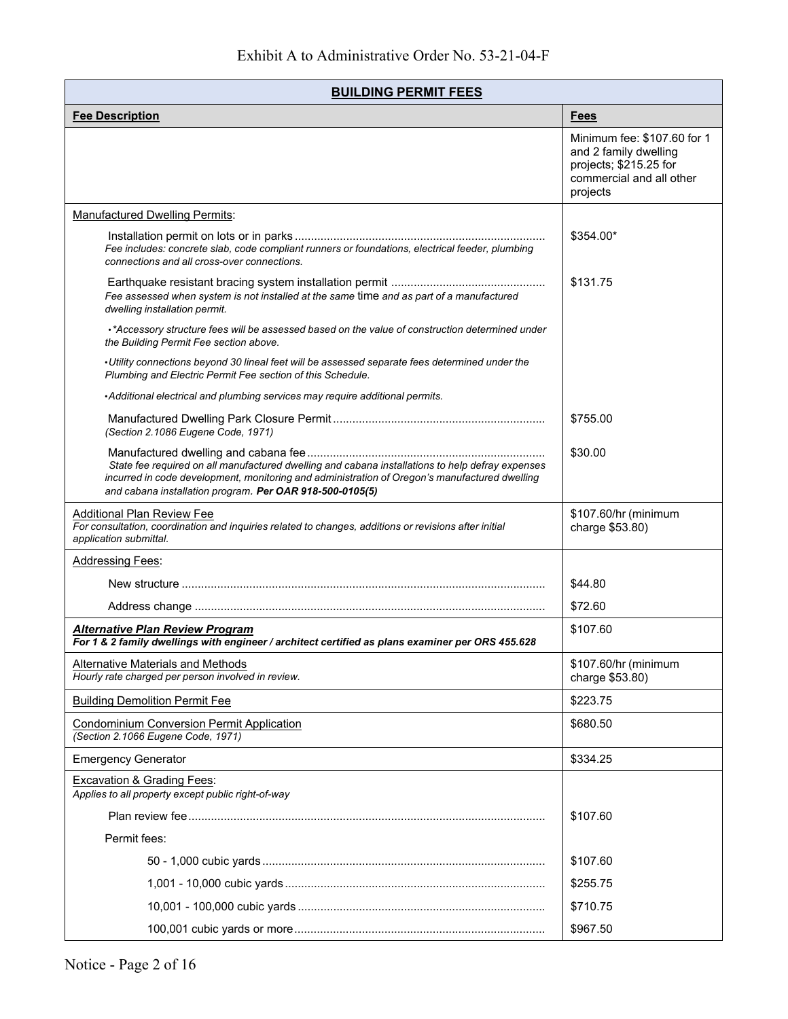| <b>BUILDING PERMIT FEES</b>                                                                                                                                                                                                                                   |                                                                                                                        |
|---------------------------------------------------------------------------------------------------------------------------------------------------------------------------------------------------------------------------------------------------------------|------------------------------------------------------------------------------------------------------------------------|
| <b>Fee Description</b>                                                                                                                                                                                                                                        | <b>Fees</b>                                                                                                            |
|                                                                                                                                                                                                                                                               | Minimum fee: \$107.60 for 1<br>and 2 family dwelling<br>projects; \$215.25 for<br>commercial and all other<br>projects |
| <b>Manufactured Dwelling Permits:</b>                                                                                                                                                                                                                         |                                                                                                                        |
| Fee includes: concrete slab, code compliant runners or foundations, electrical feeder, plumbing<br>connections and all cross-over connections.                                                                                                                | \$354.00*                                                                                                              |
| Fee assessed when system is not installed at the same time and as part of a manufactured<br>dwelling installation permit.                                                                                                                                     | \$131.75                                                                                                               |
| *Accessory structure fees will be assessed based on the value of construction determined under<br>the Building Permit Fee section above.                                                                                                                      |                                                                                                                        |
| •Utility connections beyond 30 lineal feet will be assessed separate fees determined under the<br>Plumbing and Electric Permit Fee section of this Schedule.                                                                                                  |                                                                                                                        |
| • Additional electrical and plumbing services may require additional permits.                                                                                                                                                                                 |                                                                                                                        |
| (Section 2.1086 Eugene Code, 1971)                                                                                                                                                                                                                            | \$755.00                                                                                                               |
| State fee required on all manufactured dwelling and cabana installations to help defray expenses<br>incurred in code development, monitoring and administration of Oregon's manufactured dwelling<br>and cabana installation program. Per OAR 918-500-0105(5) | \$30.00                                                                                                                |
| Additional Plan Review Fee<br>For consultation, coordination and inquiries related to changes, additions or revisions after initial<br>application submittal.                                                                                                 | \$107.60/hr (minimum<br>charge \$53.80)                                                                                |
| <b>Addressing Fees:</b>                                                                                                                                                                                                                                       |                                                                                                                        |
|                                                                                                                                                                                                                                                               | \$44.80                                                                                                                |
|                                                                                                                                                                                                                                                               | \$72.60                                                                                                                |
| <b>Alternative Plan Review Program</b><br>For 1 & 2 family dwellings with engineer / architect certified as plans examiner per ORS 455.628                                                                                                                    | \$107.60                                                                                                               |
| Alternative Materials and Methods<br>Hourly rate charged per person involved in review.                                                                                                                                                                       | \$107.60/hr (minimum<br>charge \$53.80)                                                                                |
| <b>Building Demolition Permit Fee</b>                                                                                                                                                                                                                         | \$223.75                                                                                                               |
| <b>Condominium Conversion Permit Application</b><br>(Section 2.1066 Eugene Code, 1971)                                                                                                                                                                        | \$680.50                                                                                                               |
| <b>Emergency Generator</b>                                                                                                                                                                                                                                    | \$334.25                                                                                                               |
| Excavation & Grading Fees:<br>Applies to all property except public right-of-way                                                                                                                                                                              |                                                                                                                        |
|                                                                                                                                                                                                                                                               | \$107.60                                                                                                               |
| Permit fees:                                                                                                                                                                                                                                                  |                                                                                                                        |
|                                                                                                                                                                                                                                                               | \$107.60                                                                                                               |
|                                                                                                                                                                                                                                                               | \$255.75                                                                                                               |
|                                                                                                                                                                                                                                                               | \$710.75                                                                                                               |
|                                                                                                                                                                                                                                                               | \$967.50                                                                                                               |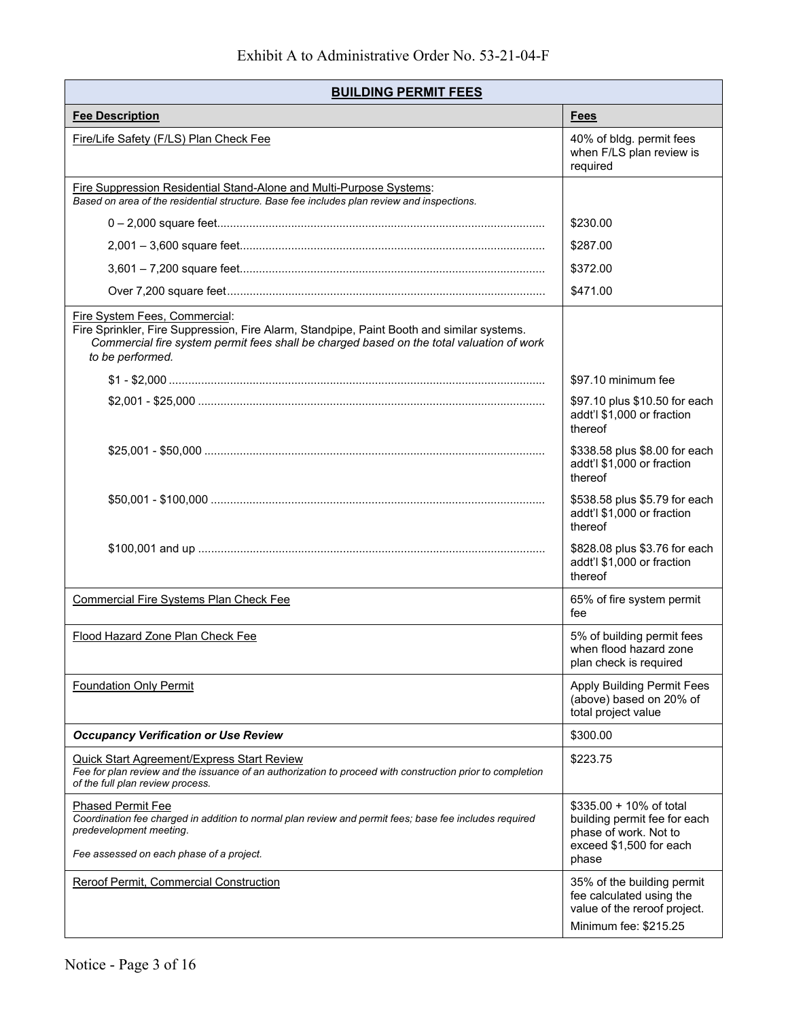| <b>BUILDING PERMIT FEES</b>                                                                                                                                                                                                                |                                                                                                                      |
|--------------------------------------------------------------------------------------------------------------------------------------------------------------------------------------------------------------------------------------------|----------------------------------------------------------------------------------------------------------------------|
| <b>Fee Description</b>                                                                                                                                                                                                                     | <b>Fees</b>                                                                                                          |
| Fire/Life Safety (F/LS) Plan Check Fee                                                                                                                                                                                                     | 40% of bldg. permit fees<br>when F/LS plan review is<br>required                                                     |
| <b>Fire Suppression Residential Stand-Alone and Multi-Purpose Systems:</b><br>Based on area of the residential structure. Base fee includes plan review and inspections.                                                                   |                                                                                                                      |
|                                                                                                                                                                                                                                            | \$230.00                                                                                                             |
|                                                                                                                                                                                                                                            | \$287.00                                                                                                             |
|                                                                                                                                                                                                                                            | \$372.00                                                                                                             |
|                                                                                                                                                                                                                                            | \$471.00                                                                                                             |
| Fire System Fees, Commercial:<br>Fire Sprinkler, Fire Suppression, Fire Alarm, Standpipe, Paint Booth and similar systems.<br>Commercial fire system permit fees shall be charged based on the total valuation of work<br>to be performed. |                                                                                                                      |
|                                                                                                                                                                                                                                            | \$97.10 minimum fee                                                                                                  |
|                                                                                                                                                                                                                                            | \$97.10 plus \$10.50 for each<br>addt'l \$1,000 or fraction<br>thereof                                               |
|                                                                                                                                                                                                                                            | \$338.58 plus \$8.00 for each<br>addt'l \$1,000 or fraction<br>thereof                                               |
|                                                                                                                                                                                                                                            | \$538.58 plus \$5.79 for each<br>addt'l \$1,000 or fraction<br>thereof                                               |
|                                                                                                                                                                                                                                            | \$828.08 plus \$3.76 for each<br>addt'l \$1,000 or fraction<br>thereof                                               |
| <b>Commercial Fire Systems Plan Check Fee</b>                                                                                                                                                                                              | 65% of fire system permit<br>fee                                                                                     |
| Flood Hazard Zone Plan Check Fee                                                                                                                                                                                                           | 5% of building permit fees<br>when flood hazard zone<br>plan check is required                                       |
| <b>Foundation Only Permit</b>                                                                                                                                                                                                              | Apply Building Permit Fees<br>(above) based on 20% of<br>total project value                                         |
| <b>Occupancy Verification or Use Review</b>                                                                                                                                                                                                | \$300.00                                                                                                             |
| <b>Quick Start Agreement/Express Start Review</b><br>Fee for plan review and the issuance of an authorization to proceed with construction prior to completion<br>of the full plan review process.                                         | \$223.75                                                                                                             |
| <b>Phased Permit Fee</b><br>Coordination fee charged in addition to normal plan review and permit fees; base fee includes required<br>predevelopment meeting.<br>Fee assessed on each phase of a project.                                  | \$335.00 + 10% of total<br>building permit fee for each<br>phase of work. Not to<br>exceed \$1,500 for each<br>phase |
| Reroof Permit, Commercial Construction                                                                                                                                                                                                     | 35% of the building permit<br>fee calculated using the<br>value of the reroof project.<br>Minimum fee: \$215.25      |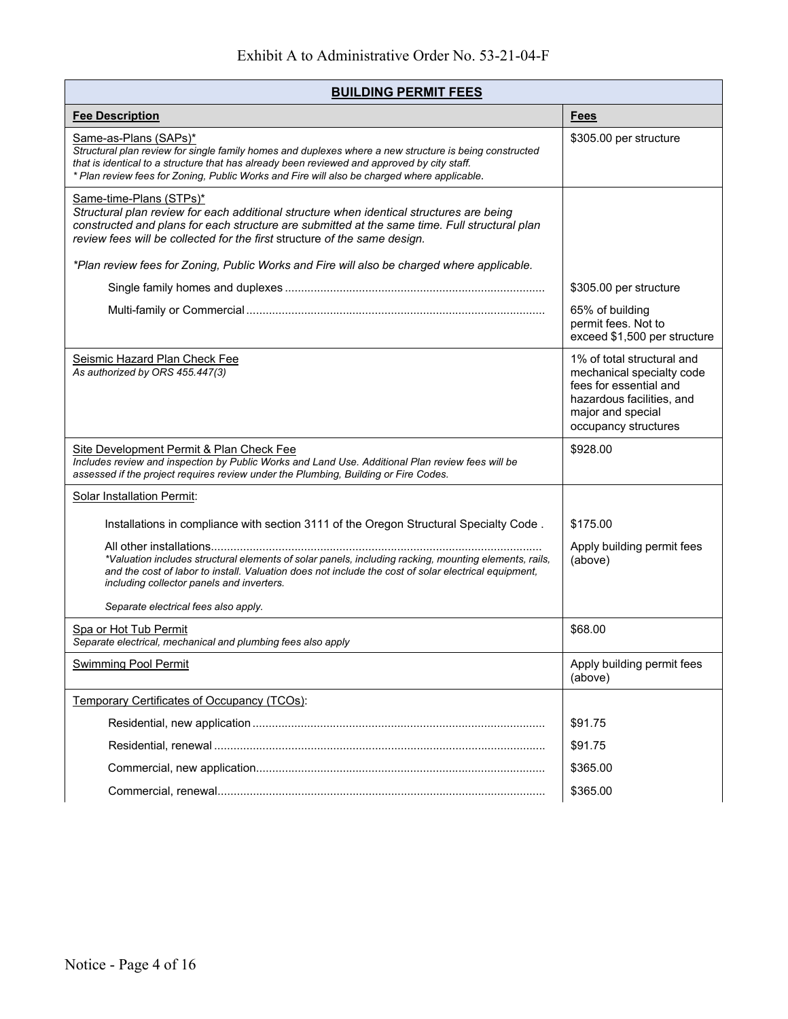| <b>BUILDING PERMIT FEES</b>                                                                                                                                                                                                                                                                                                   |                                                                                                                                                             |
|-------------------------------------------------------------------------------------------------------------------------------------------------------------------------------------------------------------------------------------------------------------------------------------------------------------------------------|-------------------------------------------------------------------------------------------------------------------------------------------------------------|
| <b>Fee Description</b>                                                                                                                                                                                                                                                                                                        | <b>Fees</b>                                                                                                                                                 |
| Same-as-Plans (SAPs)*<br>Structural plan review for single family homes and duplexes where a new structure is being constructed<br>that is identical to a structure that has already been reviewed and approved by city staff.<br>* Plan review fees for Zoning, Public Works and Fire will also be charged where applicable. | \$305.00 per structure                                                                                                                                      |
| Same-time-Plans (STPs)*<br>Structural plan review for each additional structure when identical structures are being<br>constructed and plans for each structure are submitted at the same time. Full structural plan<br>review fees will be collected for the first structure of the same design.                             |                                                                                                                                                             |
| *Plan review fees for Zoning, Public Works and Fire will also be charged where applicable.                                                                                                                                                                                                                                    |                                                                                                                                                             |
|                                                                                                                                                                                                                                                                                                                               | \$305.00 per structure                                                                                                                                      |
|                                                                                                                                                                                                                                                                                                                               | 65% of building<br>permit fees. Not to<br>exceed \$1,500 per structure                                                                                      |
| Seismic Hazard Plan Check Fee<br>As authorized by ORS 455.447(3)                                                                                                                                                                                                                                                              | 1% of total structural and<br>mechanical specialty code<br>fees for essential and<br>hazardous facilities, and<br>major and special<br>occupancy structures |
| Site Development Permit & Plan Check Fee<br>Includes review and inspection by Public Works and Land Use. Additional Plan review fees will be<br>assessed if the project requires review under the Plumbing, Building or Fire Codes.                                                                                           | \$928.00                                                                                                                                                    |
| <b>Solar Installation Permit:</b>                                                                                                                                                                                                                                                                                             |                                                                                                                                                             |
| Installations in compliance with section 3111 of the Oregon Structural Specialty Code.                                                                                                                                                                                                                                        | \$175.00                                                                                                                                                    |
| *Valuation includes structural elements of solar panels, including racking, mounting elements, rails,<br>and the cost of labor to install. Valuation does not include the cost of solar electrical equipment,<br>including collector panels and inverters.                                                                    | Apply building permit fees<br>(above)                                                                                                                       |
| Separate electrical fees also apply.                                                                                                                                                                                                                                                                                          |                                                                                                                                                             |
| Spa or Hot Tub Permit<br>Separate electrical, mechanical and plumbing fees also apply                                                                                                                                                                                                                                         | \$68.00                                                                                                                                                     |
| <b>Swimming Pool Permit</b>                                                                                                                                                                                                                                                                                                   | Apply building permit fees<br>(above)                                                                                                                       |
| Temporary Certificates of Occupancy (TCOs):                                                                                                                                                                                                                                                                                   |                                                                                                                                                             |
|                                                                                                                                                                                                                                                                                                                               | \$91.75                                                                                                                                                     |
|                                                                                                                                                                                                                                                                                                                               | \$91.75                                                                                                                                                     |
|                                                                                                                                                                                                                                                                                                                               | \$365.00                                                                                                                                                    |
|                                                                                                                                                                                                                                                                                                                               |                                                                                                                                                             |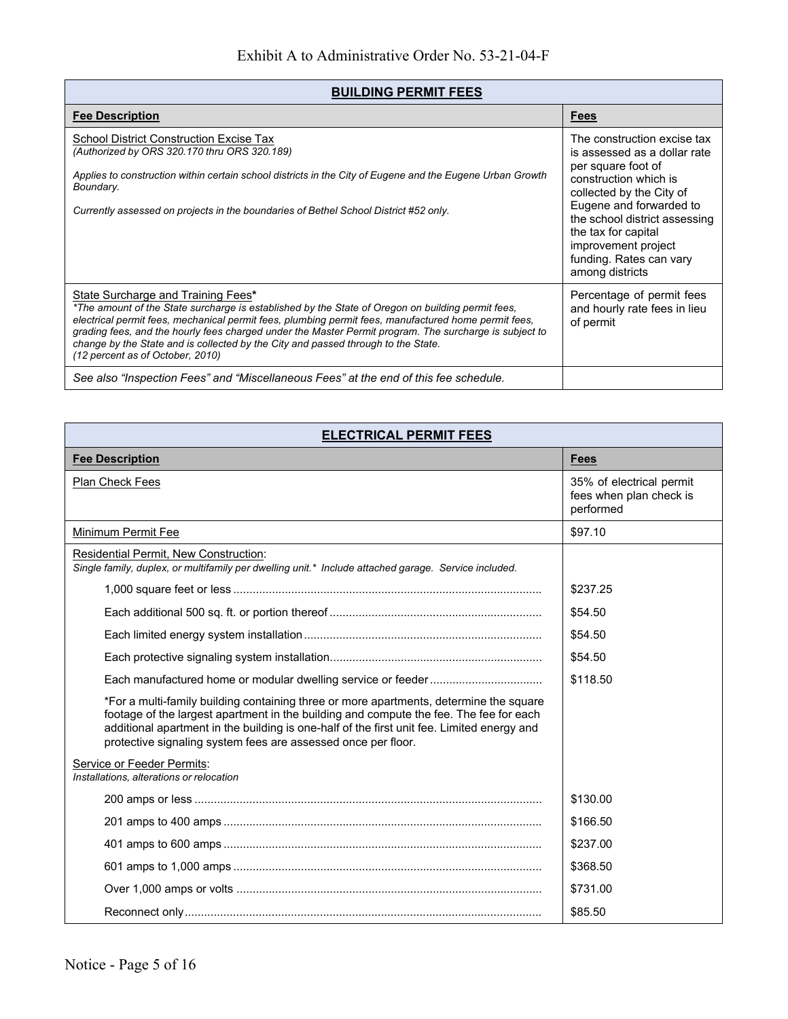## **BUILDING PERMIT FEES**

| <b>Fee Description</b>                                                                                                                                                                                                                                                                                                                                                                                                                                                             | <b>Fees</b>                                                                                                                                                                                                                                                                                    |  |
|------------------------------------------------------------------------------------------------------------------------------------------------------------------------------------------------------------------------------------------------------------------------------------------------------------------------------------------------------------------------------------------------------------------------------------------------------------------------------------|------------------------------------------------------------------------------------------------------------------------------------------------------------------------------------------------------------------------------------------------------------------------------------------------|--|
| School District Construction Excise Tax<br>(Authorized by ORS 320.170 thru ORS 320.189)<br>Applies to construction within certain school districts in the City of Eugene and the Eugene Urban Growth<br>Boundary.<br>Currently assessed on projects in the boundaries of Bethel School District #52 only.                                                                                                                                                                          | The construction excise tax<br>is assessed as a dollar rate<br>per square foot of<br>construction which is<br>collected by the City of<br>Eugene and forwarded to<br>the school district assessing<br>the tax for capital<br>improvement project<br>funding. Rates can vary<br>among districts |  |
| State Surcharge and Training Fees*<br>*The amount of the State surcharge is established by the State of Oregon on building permit fees.<br>electrical permit fees, mechanical permit fees, plumbing permit fees, manufactured home permit fees,<br>grading fees, and the hourly fees charged under the Master Permit program. The surcharge is subject to<br>change by the State and is collected by the City and passed through to the State.<br>(12 percent as of October, 2010) | Percentage of permit fees<br>and hourly rate fees in lieu<br>of permit                                                                                                                                                                                                                         |  |
| See also "Inspection Fees" and "Miscellaneous Fees" at the end of this fee schedule.                                                                                                                                                                                                                                                                                                                                                                                               |                                                                                                                                                                                                                                                                                                |  |

| <b>ELECTRICAL PERMIT FEES</b>                                                                                                                                                                                                                                                                                                                   |                                                                  |
|-------------------------------------------------------------------------------------------------------------------------------------------------------------------------------------------------------------------------------------------------------------------------------------------------------------------------------------------------|------------------------------------------------------------------|
| <b>Fee Description</b>                                                                                                                                                                                                                                                                                                                          | <b>Fees</b>                                                      |
| <b>Plan Check Fees</b>                                                                                                                                                                                                                                                                                                                          | 35% of electrical permit<br>fees when plan check is<br>performed |
| Minimum Permit Fee                                                                                                                                                                                                                                                                                                                              | \$97.10                                                          |
| Residential Permit, New Construction:<br>Single family, duplex, or multifamily per dwelling unit.* Include attached garage. Service included.                                                                                                                                                                                                   |                                                                  |
|                                                                                                                                                                                                                                                                                                                                                 | \$237.25                                                         |
|                                                                                                                                                                                                                                                                                                                                                 | \$54.50                                                          |
|                                                                                                                                                                                                                                                                                                                                                 | \$54.50                                                          |
|                                                                                                                                                                                                                                                                                                                                                 | \$54.50                                                          |
|                                                                                                                                                                                                                                                                                                                                                 | \$118.50                                                         |
| *For a multi-family building containing three or more apartments, determine the square<br>footage of the largest apartment in the building and compute the fee. The fee for each<br>additional apartment in the building is one-half of the first unit fee. Limited energy and<br>protective signaling system fees are assessed once per floor. |                                                                  |
| Service or Feeder Permits:<br>Installations, alterations or relocation                                                                                                                                                                                                                                                                          |                                                                  |
|                                                                                                                                                                                                                                                                                                                                                 | \$130.00                                                         |
|                                                                                                                                                                                                                                                                                                                                                 | \$166.50                                                         |
|                                                                                                                                                                                                                                                                                                                                                 | \$237.00                                                         |
|                                                                                                                                                                                                                                                                                                                                                 | \$368.50                                                         |
|                                                                                                                                                                                                                                                                                                                                                 | \$731.00                                                         |
|                                                                                                                                                                                                                                                                                                                                                 | \$85.50                                                          |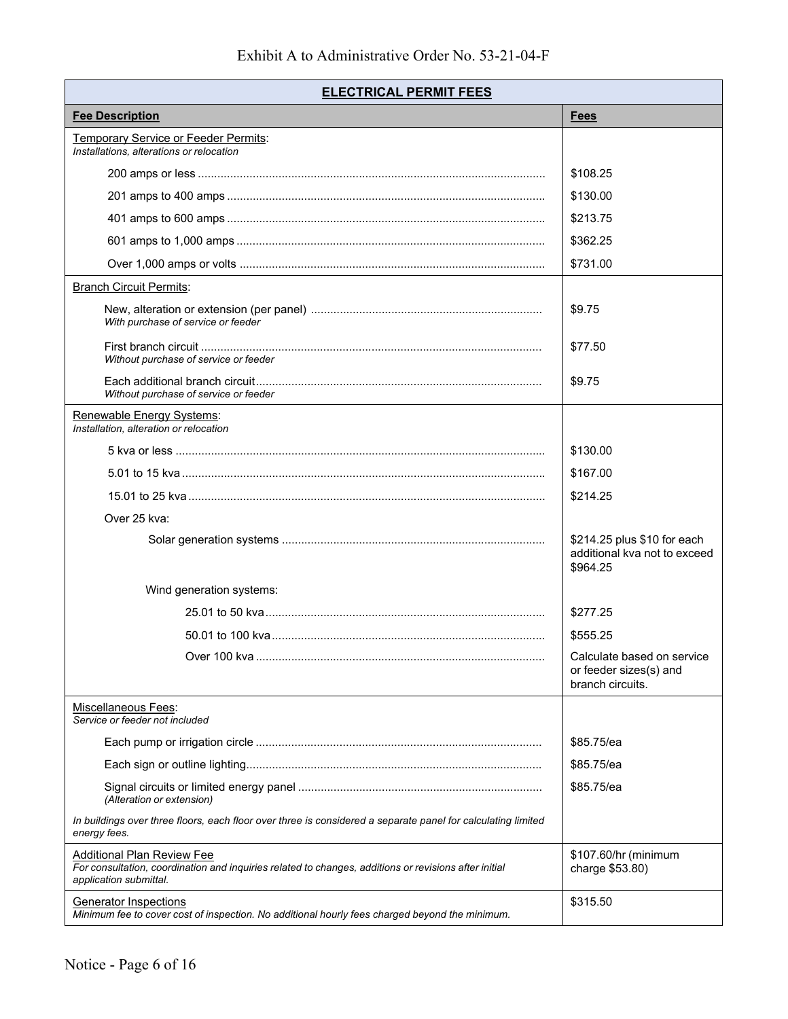| <b>ELECTRICAL PERMIT FEES</b>                                                                                                                                 |                                                                          |
|---------------------------------------------------------------------------------------------------------------------------------------------------------------|--------------------------------------------------------------------------|
| <b>Fee Description</b>                                                                                                                                        | <b>Fees</b>                                                              |
| <b>Temporary Service or Feeder Permits:</b><br>Installations, alterations or relocation                                                                       |                                                                          |
|                                                                                                                                                               | \$108.25                                                                 |
|                                                                                                                                                               | \$130.00                                                                 |
|                                                                                                                                                               | \$213.75                                                                 |
|                                                                                                                                                               | \$362.25                                                                 |
|                                                                                                                                                               | \$731.00                                                                 |
| <b>Branch Circuit Permits:</b>                                                                                                                                |                                                                          |
| With purchase of service or feeder                                                                                                                            | \$9.75                                                                   |
| Without purchase of service or feeder                                                                                                                         | \$77.50                                                                  |
| Without purchase of service or feeder                                                                                                                         | \$9.75                                                                   |
| Renewable Energy Systems:<br>Installation, alteration or relocation                                                                                           |                                                                          |
|                                                                                                                                                               | \$130.00                                                                 |
|                                                                                                                                                               | \$167.00                                                                 |
|                                                                                                                                                               | \$214.25                                                                 |
| Over 25 kva:                                                                                                                                                  |                                                                          |
|                                                                                                                                                               | \$214.25 plus \$10 for each<br>additional kva not to exceed<br>\$964.25  |
| Wind generation systems:                                                                                                                                      |                                                                          |
|                                                                                                                                                               | \$277.25                                                                 |
|                                                                                                                                                               | \$555.25                                                                 |
|                                                                                                                                                               | Calculate based on service<br>or feeder sizes(s) and<br>branch circuits. |
| Miscellaneous Fees:<br>Service or feeder not included                                                                                                         |                                                                          |
|                                                                                                                                                               | \$85.75/ea                                                               |
|                                                                                                                                                               | \$85.75/ea                                                               |
| (Alteration or extension)                                                                                                                                     | \$85.75/ea                                                               |
| In buildings over three floors, each floor over three is considered a separate panel for calculating limited<br>energy fees.                                  |                                                                          |
| Additional Plan Review Fee<br>For consultation, coordination and inquiries related to changes, additions or revisions after initial<br>application submittal. | \$107.60/hr (minimum<br>charge \$53.80)                                  |
| Generator Inspections<br>Minimum fee to cover cost of inspection. No additional hourly fees charged beyond the minimum.                                       | \$315.50                                                                 |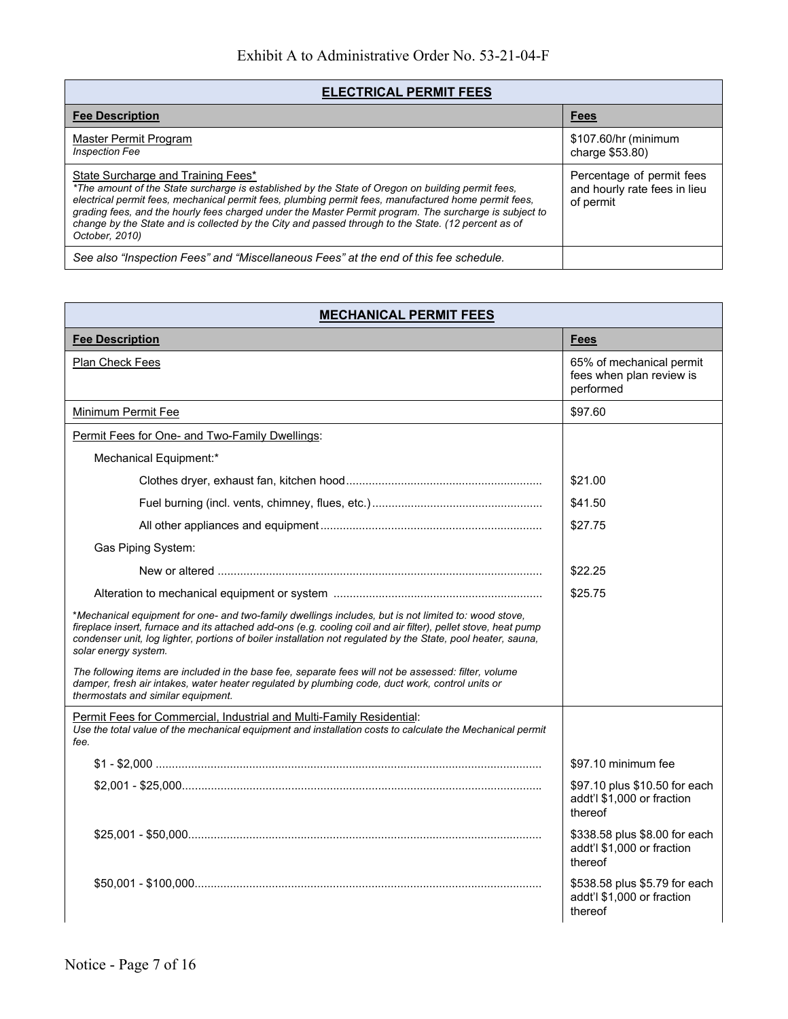| <b>ELECTRICAL PERMIT FEES</b>                                                                                                                                                                                                                                                                                                                                                                                                                                                      |                                                                        |
|------------------------------------------------------------------------------------------------------------------------------------------------------------------------------------------------------------------------------------------------------------------------------------------------------------------------------------------------------------------------------------------------------------------------------------------------------------------------------------|------------------------------------------------------------------------|
| <b>Fee Description</b>                                                                                                                                                                                                                                                                                                                                                                                                                                                             | <b>Fees</b>                                                            |
| Master Permit Program<br><b>Inspection Fee</b>                                                                                                                                                                                                                                                                                                                                                                                                                                     | \$107.60/hr (minimum<br>charge \$53.80)                                |
| State Surcharge and Training Fees*<br>*The amount of the State surcharge is established by the State of Oregon on building permit fees.<br>electrical permit fees, mechanical permit fees, plumbing permit fees, manufactured home permit fees,<br>grading fees, and the hourly fees charged under the Master Permit program. The surcharge is subject to<br>change by the State and is collected by the City and passed through to the State. (12 percent as of<br>October, 2010) | Percentage of permit fees<br>and hourly rate fees in lieu<br>of permit |
| See also "Inspection Fees" and "Miscellaneous Fees" at the end of this fee schedule.                                                                                                                                                                                                                                                                                                                                                                                               |                                                                        |

| <b>MECHANICAL PERMIT FEES</b>                                                                                                                                                                                                                                                                                                                                  |                                                                        |
|----------------------------------------------------------------------------------------------------------------------------------------------------------------------------------------------------------------------------------------------------------------------------------------------------------------------------------------------------------------|------------------------------------------------------------------------|
| <b>Fee Description</b>                                                                                                                                                                                                                                                                                                                                         | <b>Fees</b>                                                            |
| Plan Check Fees                                                                                                                                                                                                                                                                                                                                                | 65% of mechanical permit<br>fees when plan review is<br>performed      |
| Minimum Permit Fee                                                                                                                                                                                                                                                                                                                                             | \$97.60                                                                |
| Permit Fees for One- and Two-Family Dwellings:                                                                                                                                                                                                                                                                                                                 |                                                                        |
| Mechanical Equipment:*                                                                                                                                                                                                                                                                                                                                         |                                                                        |
|                                                                                                                                                                                                                                                                                                                                                                | \$21.00                                                                |
|                                                                                                                                                                                                                                                                                                                                                                | \$41.50                                                                |
|                                                                                                                                                                                                                                                                                                                                                                | \$27.75                                                                |
| Gas Piping System:                                                                                                                                                                                                                                                                                                                                             |                                                                        |
|                                                                                                                                                                                                                                                                                                                                                                | \$22.25                                                                |
|                                                                                                                                                                                                                                                                                                                                                                | \$25.75                                                                |
| *Mechanical equipment for one- and two-family dwellings includes, but is not limited to: wood stove,<br>fireplace insert, furnace and its attached add-ons (e.g. cooling coil and air filter), pellet stove, heat pump<br>condenser unit, log lighter, portions of boiler installation not regulated by the State, pool heater, sauna,<br>solar energy system. |                                                                        |
| The following items are included in the base fee, separate fees will not be assessed: filter, volume<br>damper, fresh air intakes, water heater regulated by plumbing code, duct work, control units or<br>thermostats and similar equipment.                                                                                                                  |                                                                        |
| Permit Fees for Commercial, Industrial and Multi-Family Residential:                                                                                                                                                                                                                                                                                           |                                                                        |
| Use the total value of the mechanical equipment and installation costs to calculate the Mechanical permit<br>fee.                                                                                                                                                                                                                                              |                                                                        |
|                                                                                                                                                                                                                                                                                                                                                                | \$97.10 minimum fee                                                    |
|                                                                                                                                                                                                                                                                                                                                                                | \$97.10 plus \$10.50 for each<br>addt'l \$1,000 or fraction<br>thereof |
|                                                                                                                                                                                                                                                                                                                                                                | \$338.58 plus \$8.00 for each<br>addt'l \$1,000 or fraction<br>thereof |
|                                                                                                                                                                                                                                                                                                                                                                | \$538.58 plus \$5.79 for each<br>addt'l \$1,000 or fraction<br>thereof |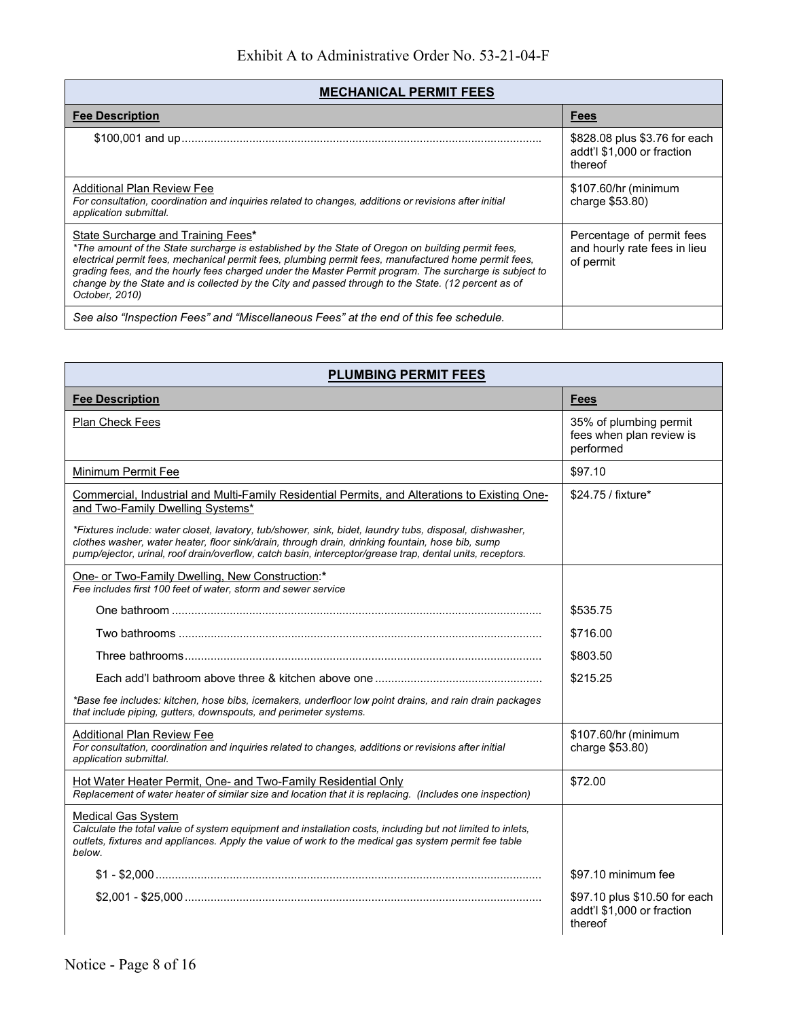| <b>MECHANICAL PERMIT FEES</b>                                                                                                                                                                                                                                                                                                                                                                                                                                                      |                                                                        |
|------------------------------------------------------------------------------------------------------------------------------------------------------------------------------------------------------------------------------------------------------------------------------------------------------------------------------------------------------------------------------------------------------------------------------------------------------------------------------------|------------------------------------------------------------------------|
| <b>Fee Description</b>                                                                                                                                                                                                                                                                                                                                                                                                                                                             | <b>Fees</b>                                                            |
|                                                                                                                                                                                                                                                                                                                                                                                                                                                                                    | \$828.08 plus \$3.76 for each<br>addt'l \$1,000 or fraction<br>thereof |
| Additional Plan Review Fee<br>For consultation, coordination and inquiries related to changes, additions or revisions after initial<br>application submittal.                                                                                                                                                                                                                                                                                                                      | \$107.60/hr (minimum<br>charge \$53.80)                                |
| State Surcharge and Training Fees*<br>*The amount of the State surcharge is established by the State of Oregon on building permit fees.<br>electrical permit fees, mechanical permit fees, plumbing permit fees, manufactured home permit fees,<br>grading fees, and the hourly fees charged under the Master Permit program. The surcharge is subject to<br>change by the State and is collected by the City and passed through to the State. (12 percent as of<br>October, 2010) | Percentage of permit fees<br>and hourly rate fees in lieu<br>of permit |
| See also "Inspection Fees" and "Miscellaneous Fees" at the end of this fee schedule.                                                                                                                                                                                                                                                                                                                                                                                               |                                                                        |

| <b>PLUMBING PERMIT FEES</b>                                                                                                                                                                                                                                                                                              |                                                                        |
|--------------------------------------------------------------------------------------------------------------------------------------------------------------------------------------------------------------------------------------------------------------------------------------------------------------------------|------------------------------------------------------------------------|
| <b>Fee Description</b>                                                                                                                                                                                                                                                                                                   | <b>Fees</b>                                                            |
| Plan Check Fees                                                                                                                                                                                                                                                                                                          | 35% of plumbing permit<br>fees when plan review is<br>performed        |
| Minimum Permit Fee                                                                                                                                                                                                                                                                                                       | \$97.10                                                                |
| Commercial, Industrial and Multi-Family Residential Permits, and Alterations to Existing One-<br>and Two-Family Dwelling Systems*                                                                                                                                                                                        | \$24.75 / fixture*                                                     |
| *Fixtures include: water closet, lavatory, tub/shower, sink, bidet, laundry tubs, disposal, dishwasher,<br>clothes washer, water heater, floor sink/drain, through drain, drinking fountain, hose bib, sump<br>pump/ejector, urinal, roof drain/overflow, catch basin, interceptor/grease trap, dental units, receptors. |                                                                        |
| One- or Two-Family Dwelling, New Construction:*<br>Fee includes first 100 feet of water, storm and sewer service                                                                                                                                                                                                         |                                                                        |
|                                                                                                                                                                                                                                                                                                                          | \$535.75                                                               |
|                                                                                                                                                                                                                                                                                                                          | \$716.00                                                               |
|                                                                                                                                                                                                                                                                                                                          | \$803.50                                                               |
|                                                                                                                                                                                                                                                                                                                          | \$215.25                                                               |
| *Base fee includes: kitchen, hose bibs, icemakers, underfloor low point drains, and rain drain packages<br>that include piping, gutters, downspouts, and perimeter systems.                                                                                                                                              |                                                                        |
| <b>Additional Plan Review Fee</b><br>For consultation, coordination and inquiries related to changes, additions or revisions after initial<br>application submittal.                                                                                                                                                     | \$107.60/hr (minimum<br>charge \$53.80)                                |
| Hot Water Heater Permit, One- and Two-Family Residential Only<br>Replacement of water heater of similar size and location that it is replacing. (Includes one inspection)                                                                                                                                                | \$72.00                                                                |
| <b>Medical Gas System</b><br>Calculate the total value of system equipment and installation costs, including but not limited to inlets,<br>outlets, fixtures and appliances. Apply the value of work to the medical gas system permit fee table<br>below.                                                                |                                                                        |
|                                                                                                                                                                                                                                                                                                                          | \$97.10 minimum fee                                                    |
|                                                                                                                                                                                                                                                                                                                          | \$97.10 plus \$10.50 for each<br>addt'l \$1,000 or fraction<br>thereof |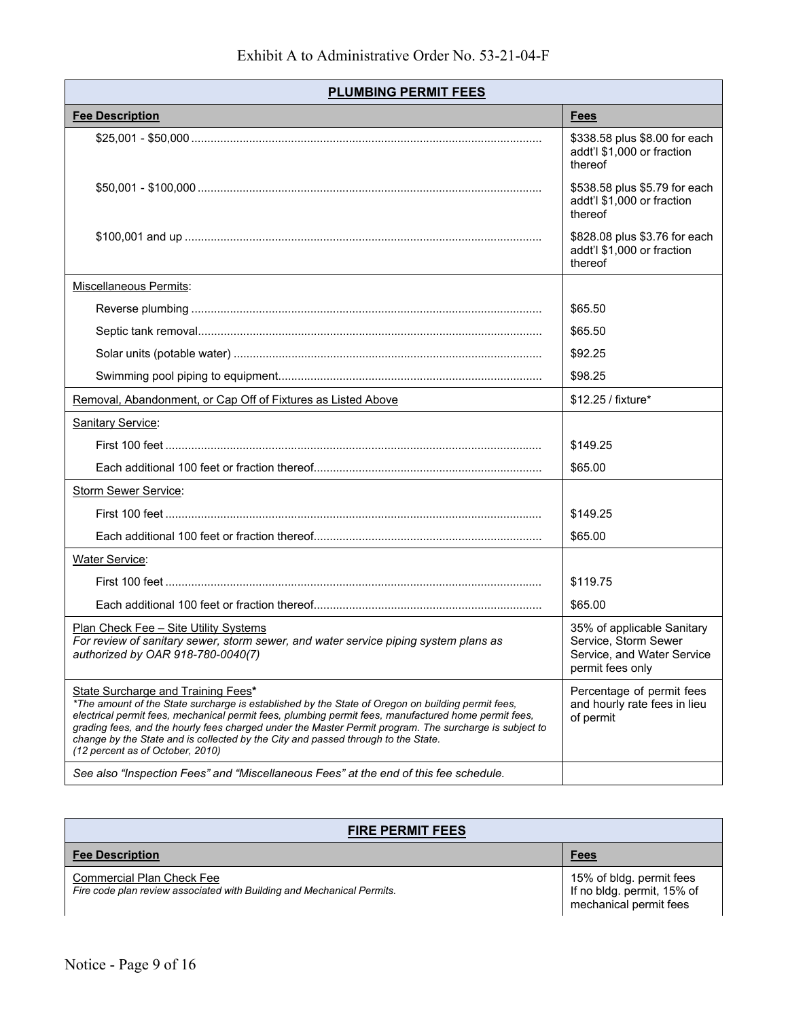| <b>PLUMBING PERMIT FEES</b>                                                                                                                                                                                                                                                                                                                                                                                                                                                        |                                                                                                      |
|------------------------------------------------------------------------------------------------------------------------------------------------------------------------------------------------------------------------------------------------------------------------------------------------------------------------------------------------------------------------------------------------------------------------------------------------------------------------------------|------------------------------------------------------------------------------------------------------|
| <b>Fee Description</b>                                                                                                                                                                                                                                                                                                                                                                                                                                                             | <b>Fees</b>                                                                                          |
|                                                                                                                                                                                                                                                                                                                                                                                                                                                                                    | \$338.58 plus \$8.00 for each<br>addt'l \$1,000 or fraction<br>thereof                               |
|                                                                                                                                                                                                                                                                                                                                                                                                                                                                                    | \$538.58 plus \$5.79 for each<br>addt'l \$1,000 or fraction<br>thereof                               |
|                                                                                                                                                                                                                                                                                                                                                                                                                                                                                    | \$828.08 plus \$3.76 for each<br>addt'l \$1,000 or fraction<br>thereof                               |
| Miscellaneous Permits:                                                                                                                                                                                                                                                                                                                                                                                                                                                             |                                                                                                      |
|                                                                                                                                                                                                                                                                                                                                                                                                                                                                                    | \$65.50                                                                                              |
|                                                                                                                                                                                                                                                                                                                                                                                                                                                                                    | \$65.50                                                                                              |
|                                                                                                                                                                                                                                                                                                                                                                                                                                                                                    | \$92.25                                                                                              |
|                                                                                                                                                                                                                                                                                                                                                                                                                                                                                    | \$98.25                                                                                              |
| Removal, Abandonment, or Cap Off of Fixtures as Listed Above                                                                                                                                                                                                                                                                                                                                                                                                                       | \$12.25 / fixture*                                                                                   |
| Sanitary Service:                                                                                                                                                                                                                                                                                                                                                                                                                                                                  |                                                                                                      |
|                                                                                                                                                                                                                                                                                                                                                                                                                                                                                    | \$149.25                                                                                             |
|                                                                                                                                                                                                                                                                                                                                                                                                                                                                                    | \$65.00                                                                                              |
| <b>Storm Sewer Service:</b>                                                                                                                                                                                                                                                                                                                                                                                                                                                        |                                                                                                      |
|                                                                                                                                                                                                                                                                                                                                                                                                                                                                                    | \$149.25                                                                                             |
|                                                                                                                                                                                                                                                                                                                                                                                                                                                                                    | \$65.00                                                                                              |
| <b>Water Service:</b>                                                                                                                                                                                                                                                                                                                                                                                                                                                              |                                                                                                      |
|                                                                                                                                                                                                                                                                                                                                                                                                                                                                                    | \$119.75                                                                                             |
|                                                                                                                                                                                                                                                                                                                                                                                                                                                                                    | \$65.00                                                                                              |
| <u> Plan Check Fee – Site Utility Systems</u><br>For review of sanitary sewer, storm sewer, and water service piping system plans as<br>authorized by OAR 918-780-0040(7)                                                                                                                                                                                                                                                                                                          | 35% of applicable Sanitary<br>Service, Storm Sewer<br>Service, and Water Service<br>permit fees only |
| State Surcharge and Training Fees*<br>*The amount of the State surcharge is established by the State of Oregon on building permit fees,<br>electrical permit fees, mechanical permit fees, plumbing permit fees, manufactured home permit fees,<br>grading fees, and the hourly fees charged under the Master Permit program. The surcharge is subject to<br>change by the State and is collected by the City and passed through to the State.<br>(12 percent as of October, 2010) | Percentage of permit fees<br>and hourly rate fees in lieu<br>of permit                               |
| See also "Inspection Fees" and "Miscellaneous Fees" at the end of this fee schedule.                                                                                                                                                                                                                                                                                                                                                                                               |                                                                                                      |

| <b>FIRE PERMIT FEES</b>                                                                                    |                                                                                  |
|------------------------------------------------------------------------------------------------------------|----------------------------------------------------------------------------------|
| <b>Fee Description</b>                                                                                     | <b>Fees</b>                                                                      |
| <b>Commercial Plan Check Fee</b><br>Fire code plan review associated with Building and Mechanical Permits. | 15% of bldg. permit fees<br>If no bldg. permit, 15% of<br>mechanical permit fees |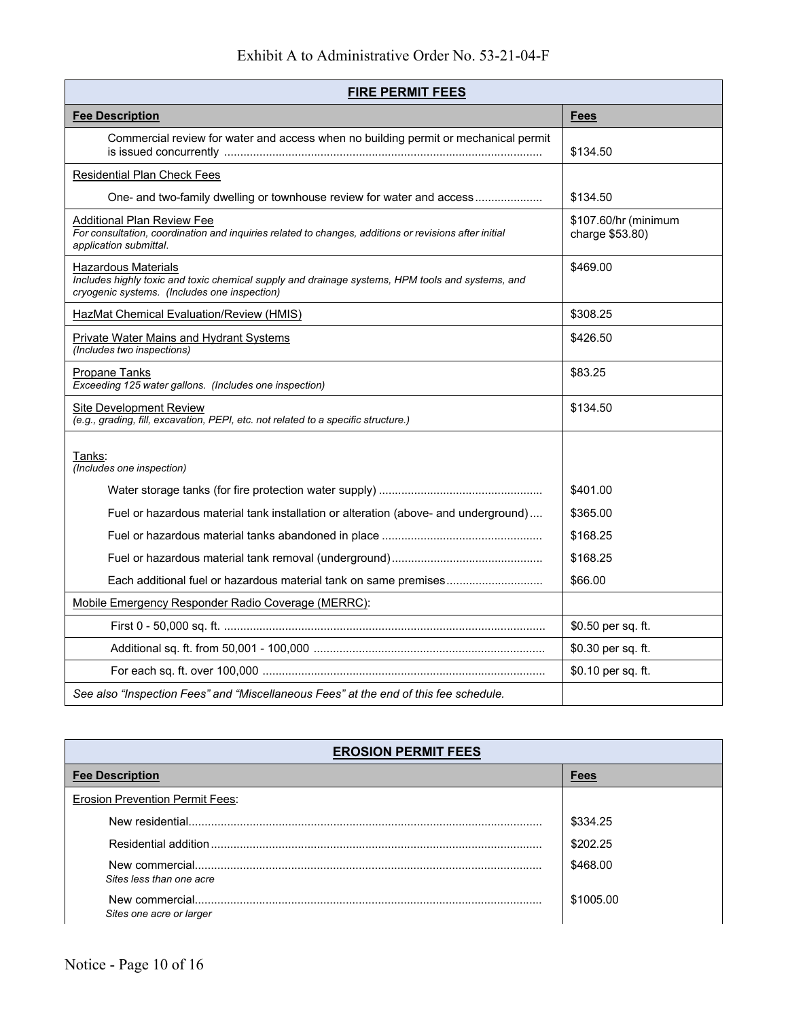| <b>FIRE PERMIT FEES</b>                                                                                                                                                 |                                         |
|-------------------------------------------------------------------------------------------------------------------------------------------------------------------------|-----------------------------------------|
| <b>Fee Description</b>                                                                                                                                                  | <b>Fees</b>                             |
| Commercial review for water and access when no building permit or mechanical permit                                                                                     | \$134.50                                |
| <b>Residential Plan Check Fees</b>                                                                                                                                      |                                         |
|                                                                                                                                                                         | \$134.50                                |
| <b>Additional Plan Review Fee</b><br>For consultation, coordination and inquiries related to changes, additions or revisions after initial<br>application submittal.    | \$107.60/hr (minimum<br>charge \$53.80) |
| Hazardous Materials<br>Includes highly toxic and toxic chemical supply and drainage systems, HPM tools and systems, and<br>cryogenic systems. (Includes one inspection) | \$469.00                                |
| HazMat Chemical Evaluation/Review (HMIS)                                                                                                                                | \$308.25                                |
| <b>Private Water Mains and Hydrant Systems</b><br>(Includes two inspections)                                                                                            | \$426.50                                |
| Propane Tanks<br>Exceeding 125 water gallons. (Includes one inspection)                                                                                                 | \$83.25                                 |
| Site Development Review<br>(e.g., grading, fill, excavation, PEPI, etc. not related to a specific structure.)                                                           | \$134.50                                |
| Tanks:<br>(Includes one inspection)                                                                                                                                     |                                         |
|                                                                                                                                                                         | \$401.00                                |
| Fuel or hazardous material tank installation or alteration (above- and underground)                                                                                     | \$365.00                                |
|                                                                                                                                                                         | \$168.25                                |
|                                                                                                                                                                         | \$168.25                                |
|                                                                                                                                                                         | \$66.00                                 |
| Mobile Emergency Responder Radio Coverage (MERRC):                                                                                                                      |                                         |
|                                                                                                                                                                         | \$0.50 per sq. ft.                      |
|                                                                                                                                                                         | \$0.30 per sq. ft.                      |
|                                                                                                                                                                         | \$0.10 per sq. ft.                      |
| See also "Inspection Fees" and "Miscellaneous Fees" at the end of this fee schedule.                                                                                    |                                         |

| <b>EROSION PERMIT FEES</b>             |             |
|----------------------------------------|-------------|
| <b>Fee Description</b>                 | <b>Fees</b> |
| <b>Erosion Prevention Permit Fees:</b> |             |
| New residential                        | \$334.25    |
|                                        | \$202.25    |
| Sites less than one acre               | \$468.00    |
| Sites one acre or larger               | \$1005.00   |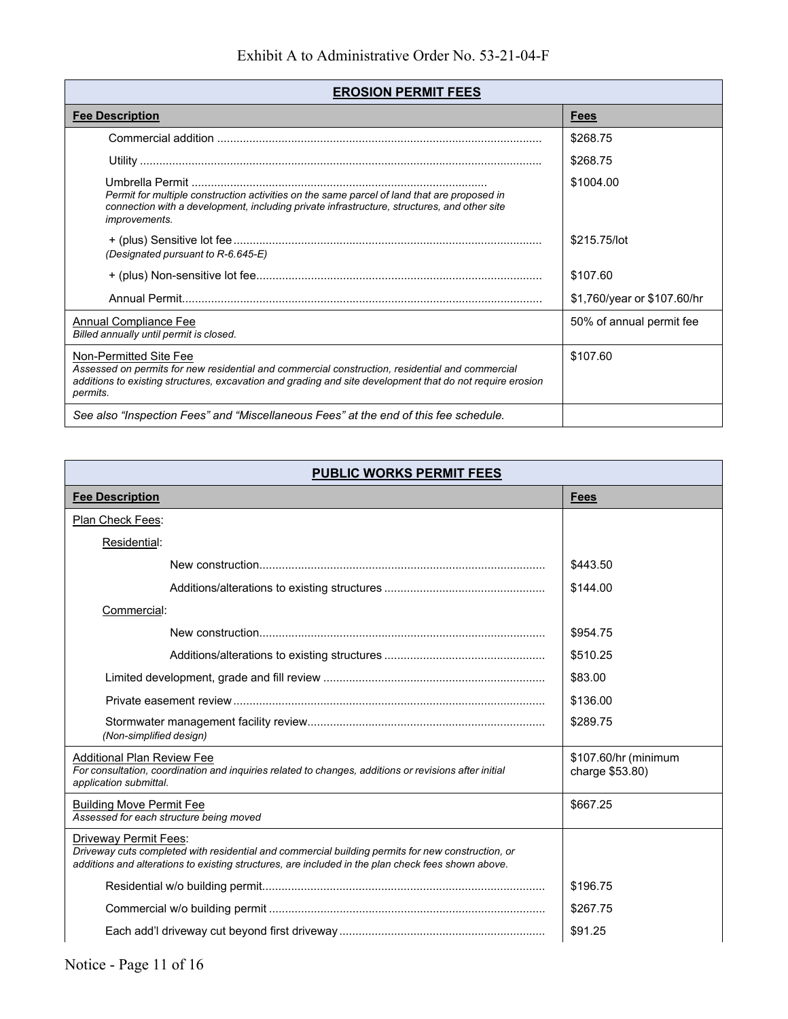| <b>EROSION PERMIT FEES</b>                                                                                                                                                                                                                         |                             |
|----------------------------------------------------------------------------------------------------------------------------------------------------------------------------------------------------------------------------------------------------|-----------------------------|
| <b>Fee Description</b>                                                                                                                                                                                                                             | <b>Fees</b>                 |
|                                                                                                                                                                                                                                                    | \$268.75                    |
|                                                                                                                                                                                                                                                    | \$268.75                    |
| Permit for multiple construction activities on the same parcel of land that are proposed in<br>connection with a development, including private infrastructure, structures, and other site<br><i>improvements.</i>                                 | \$1004.00                   |
| (Designated pursuant to R-6.645-E)                                                                                                                                                                                                                 | \$215.75/lot                |
|                                                                                                                                                                                                                                                    | \$107.60                    |
|                                                                                                                                                                                                                                                    | \$1,760/year or \$107.60/hr |
| Annual Compliance Fee<br>Billed annually until permit is closed.                                                                                                                                                                                   | 50% of annual permit fee    |
| Non-Permitted Site Fee<br>Assessed on permits for new residential and commercial construction, residential and commercial<br>additions to existing structures, excavation and grading and site development that do not require erosion<br>permits. | \$107.60                    |
| See also "Inspection Fees" and "Miscellaneous Fees" at the end of this fee schedule.                                                                                                                                                               |                             |

| <b>PUBLIC WORKS PERMIT FEES</b>                                                                                                                                                                                                         |                                         |
|-----------------------------------------------------------------------------------------------------------------------------------------------------------------------------------------------------------------------------------------|-----------------------------------------|
| <b>Fee Description</b>                                                                                                                                                                                                                  | <b>Fees</b>                             |
| Plan Check Fees:                                                                                                                                                                                                                        |                                         |
| Residential:                                                                                                                                                                                                                            |                                         |
|                                                                                                                                                                                                                                         | \$443.50                                |
|                                                                                                                                                                                                                                         | \$144.00                                |
| Commercial:                                                                                                                                                                                                                             |                                         |
|                                                                                                                                                                                                                                         | \$954.75                                |
|                                                                                                                                                                                                                                         | \$510.25                                |
|                                                                                                                                                                                                                                         | \$83.00                                 |
|                                                                                                                                                                                                                                         | \$136.00                                |
| (Non-simplified design)                                                                                                                                                                                                                 | \$289.75                                |
| <b>Additional Plan Review Fee</b><br>For consultation, coordination and inquiries related to changes, additions or revisions after initial<br>application submittal.                                                                    | \$107.60/hr (minimum<br>charge \$53.80) |
| <b>Building Move Permit Fee</b><br>Assessed for each structure being moved                                                                                                                                                              | \$667.25                                |
| <b>Driveway Permit Fees:</b><br>Driveway cuts completed with residential and commercial building permits for new construction, or<br>additions and alterations to existing structures, are included in the plan check fees shown above. |                                         |
|                                                                                                                                                                                                                                         | \$196.75                                |
|                                                                                                                                                                                                                                         | \$267.75                                |
|                                                                                                                                                                                                                                         | \$91.25                                 |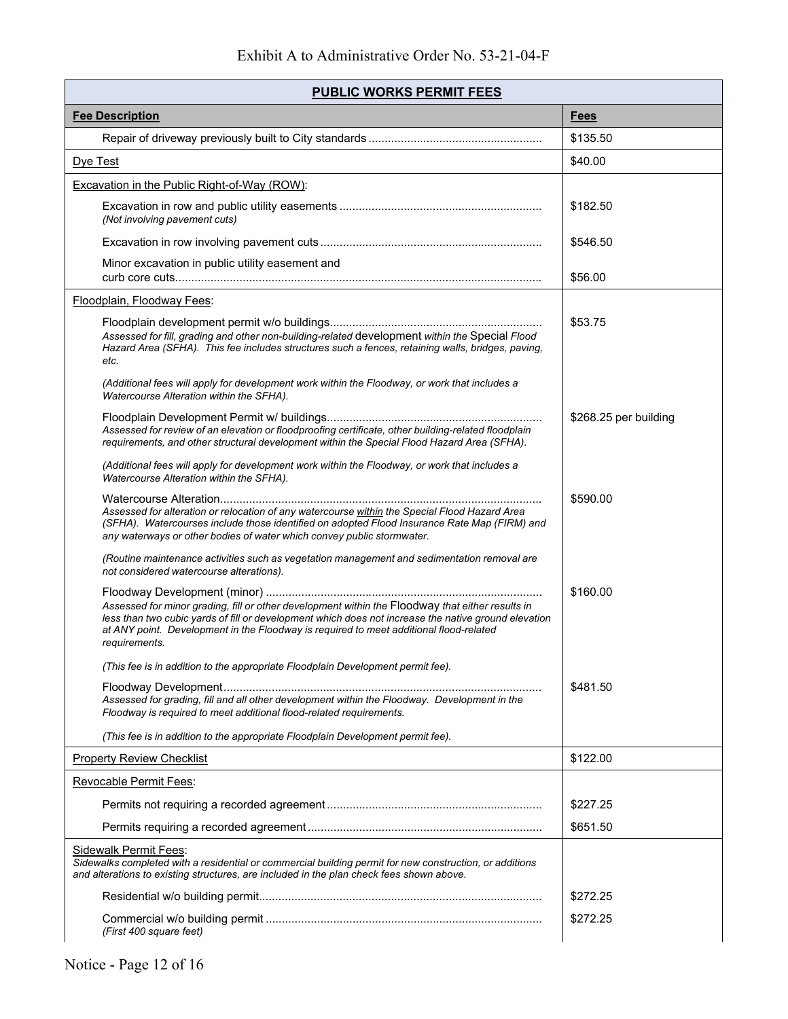| <b>PUBLIC WORKS PERMIT FEES</b>                                                                                                                                                                                                                                                                                     |                       |
|---------------------------------------------------------------------------------------------------------------------------------------------------------------------------------------------------------------------------------------------------------------------------------------------------------------------|-----------------------|
| <b>Fee Description</b>                                                                                                                                                                                                                                                                                              | <b>Fees</b>           |
|                                                                                                                                                                                                                                                                                                                     | \$135.50              |
| Dye Test                                                                                                                                                                                                                                                                                                            | \$40.00               |
| Excavation in the Public Right-of-Way (ROW):                                                                                                                                                                                                                                                                        |                       |
| (Not involving pavement cuts)                                                                                                                                                                                                                                                                                       | \$182.50              |
|                                                                                                                                                                                                                                                                                                                     | \$546.50              |
| Minor excavation in public utility easement and                                                                                                                                                                                                                                                                     | \$56.00               |
| Floodplain, Floodway Fees:                                                                                                                                                                                                                                                                                          |                       |
| Assessed for fill, grading and other non-building-related development within the Special Flood<br>Hazard Area (SFHA). This fee includes structures such a fences, retaining walls, bridges, paving,<br>etc.                                                                                                         | \$53.75               |
| (Additional fees will apply for development work within the Floodway, or work that includes a<br>Watercourse Alteration within the SFHA).                                                                                                                                                                           |                       |
| Assessed for review of an elevation or floodproofing certificate, other building-related floodplain<br>requirements, and other structural development within the Special Flood Hazard Area (SFHA).                                                                                                                  | \$268.25 per building |
| (Additional fees will apply for development work within the Floodway, or work that includes a<br>Watercourse Alteration within the SFHA).                                                                                                                                                                           |                       |
| Assessed for alteration or relocation of any watercourse within the Special Flood Hazard Area<br>(SFHA). Watercourses include those identified on adopted Flood Insurance Rate Map (FIRM) and<br>any waterways or other bodies of water which convey public stormwater.                                             | \$590.00              |
| (Routine maintenance activities such as vegetation management and sedimentation removal are<br>not considered watercourse alterations).                                                                                                                                                                             |                       |
| Assessed for minor grading, fill or other development within the Floodway that either results in<br>less than two cubic yards of fill or development which does not increase the native ground elevation<br>at ANY point. Development in the Floodway is required to meet additional flood-related<br>requirements. | \$160.00              |
| (This fee is in addition to the appropriate Floodplain Development permit fee).                                                                                                                                                                                                                                     |                       |
| Assessed for grading, fill and all other development within the Floodway. Development in the<br>Floodway is required to meet additional flood-related requirements.                                                                                                                                                 | \$481.50              |
| (This fee is in addition to the appropriate Floodplain Development permit fee).                                                                                                                                                                                                                                     |                       |
| <b>Property Review Checklist</b>                                                                                                                                                                                                                                                                                    | \$122.00              |
| <b>Revocable Permit Fees:</b>                                                                                                                                                                                                                                                                                       |                       |
|                                                                                                                                                                                                                                                                                                                     | \$227.25              |
|                                                                                                                                                                                                                                                                                                                     | \$651.50              |
| <b>Sidewalk Permit Fees:</b><br>Sidewalks completed with a residential or commercial building permit for new construction, or additions<br>and alterations to existing structures, are included in the plan check fees shown above.                                                                                 |                       |
|                                                                                                                                                                                                                                                                                                                     | \$272.25              |
| (First 400 square feet)                                                                                                                                                                                                                                                                                             | \$272.25              |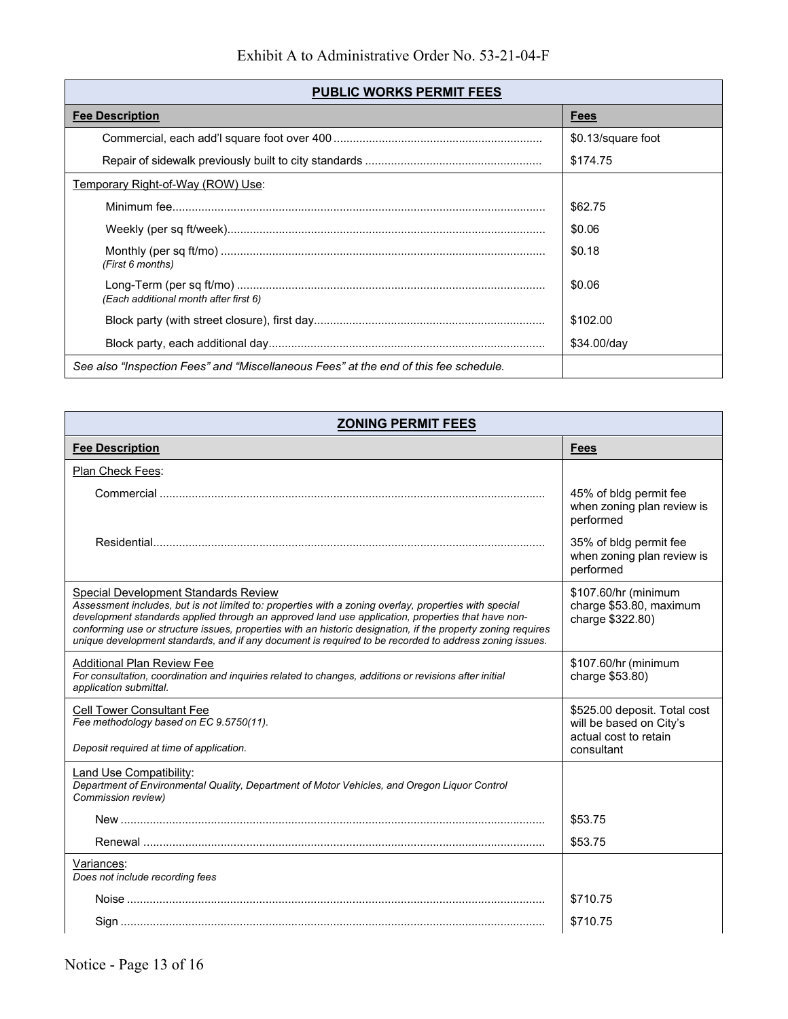| <b>PUBLIC WORKS PERMIT FEES</b>                                                      |                    |
|--------------------------------------------------------------------------------------|--------------------|
| <b>Fee Description</b>                                                               | <b>Fees</b>        |
|                                                                                      | \$0.13/square foot |
|                                                                                      | \$174.75           |
| Temporary Right-of-Way (ROW) Use:                                                    |                    |
|                                                                                      | \$62.75            |
|                                                                                      | \$0.06             |
| (First 6 months)                                                                     | \$0.18             |
| (Each additional month after first 6)                                                | \$0.06             |
|                                                                                      | \$102.00           |
|                                                                                      | \$34.00/day        |
| See also "Inspection Fees" and "Miscellaneous Fees" at the end of this fee schedule. |                    |

| <b>ZONING PERMIT FEES</b>                                                                                                                                                                                                                                                                                                                                                                                                                                                    |                                                                                  |
|------------------------------------------------------------------------------------------------------------------------------------------------------------------------------------------------------------------------------------------------------------------------------------------------------------------------------------------------------------------------------------------------------------------------------------------------------------------------------|----------------------------------------------------------------------------------|
| <b>Fee Description</b>                                                                                                                                                                                                                                                                                                                                                                                                                                                       | <b>Fees</b>                                                                      |
| Plan Check Fees:                                                                                                                                                                                                                                                                                                                                                                                                                                                             |                                                                                  |
|                                                                                                                                                                                                                                                                                                                                                                                                                                                                              | 45% of bldg permit fee<br>when zoning plan review is<br>performed                |
|                                                                                                                                                                                                                                                                                                                                                                                                                                                                              | 35% of bldg permit fee<br>when zoning plan review is<br>performed                |
| Special Development Standards Review<br>Assessment includes, but is not limited to: properties with a zoning overlay, properties with special<br>development standards applied through an approved land use application, properties that have non-<br>conforming use or structure issues, properties with an historic designation, if the property zoning requires<br>unique development standards, and if any document is required to be recorded to address zoning issues. | \$107.60/hr (minimum<br>charge \$53.80, maximum<br>charge \$322.80)              |
| <b>Additional Plan Review Fee</b><br>For consultation, coordination and inquiries related to changes, additions or revisions after initial<br>application submittal.                                                                                                                                                                                                                                                                                                         | \$107.60/hr (minimum<br>charge \$53.80)                                          |
| <b>Cell Tower Consultant Fee</b><br>Fee methodology based on EC 9.5750(11).                                                                                                                                                                                                                                                                                                                                                                                                  | \$525.00 deposit. Total cost<br>will be based on City's<br>actual cost to retain |
| Deposit required at time of application.                                                                                                                                                                                                                                                                                                                                                                                                                                     | consultant                                                                       |
| <b>Land Use Compatibility:</b><br>Department of Environmental Quality, Department of Motor Vehicles, and Oregon Liquor Control<br>Commission review)                                                                                                                                                                                                                                                                                                                         |                                                                                  |
|                                                                                                                                                                                                                                                                                                                                                                                                                                                                              | \$53.75                                                                          |
|                                                                                                                                                                                                                                                                                                                                                                                                                                                                              | \$53.75                                                                          |
| Variances:<br>Does not include recording fees                                                                                                                                                                                                                                                                                                                                                                                                                                |                                                                                  |
|                                                                                                                                                                                                                                                                                                                                                                                                                                                                              | \$710.75                                                                         |
|                                                                                                                                                                                                                                                                                                                                                                                                                                                                              | \$710.75                                                                         |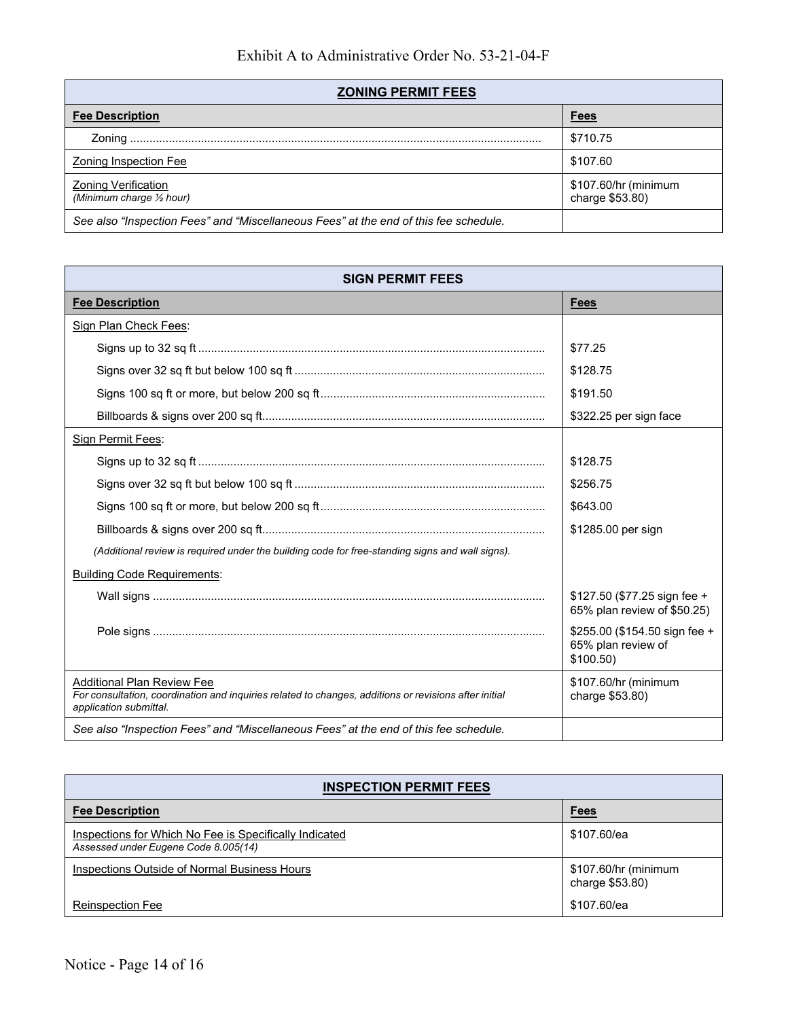| <b>ZONING PERMIT FEES</b>                                                            |                                         |
|--------------------------------------------------------------------------------------|-----------------------------------------|
| <b>Fee Description</b>                                                               | <b>Fees</b>                             |
|                                                                                      | \$710.75                                |
| <b>Zoning Inspection Fee</b>                                                         | \$107.60                                |
| <b>Zoning Verification</b><br>(Minimum charge 1/2 hour)                              | \$107.60/hr (minimum<br>charge \$53.80) |
| See also "Inspection Fees" and "Miscellaneous Fees" at the end of this fee schedule. |                                         |

| <b>SIGN PERMIT FEES</b>                                                                                                                                              |                                                                 |
|----------------------------------------------------------------------------------------------------------------------------------------------------------------------|-----------------------------------------------------------------|
| <b>Fee Description</b>                                                                                                                                               | Fees                                                            |
| <b>Sign Plan Check Fees:</b>                                                                                                                                         |                                                                 |
|                                                                                                                                                                      | \$77.25                                                         |
|                                                                                                                                                                      | \$128.75                                                        |
|                                                                                                                                                                      | \$191.50                                                        |
|                                                                                                                                                                      | \$322.25 per sign face                                          |
| Sign Permit Fees:                                                                                                                                                    |                                                                 |
|                                                                                                                                                                      | \$128.75                                                        |
|                                                                                                                                                                      | \$256.75                                                        |
|                                                                                                                                                                      | \$643.00                                                        |
|                                                                                                                                                                      | \$1285.00 per sign                                              |
| (Additional review is required under the building code for free-standing signs and wall signs).                                                                      |                                                                 |
| <b>Building Code Requirements:</b>                                                                                                                                   |                                                                 |
|                                                                                                                                                                      | \$127.50 (\$77.25 sign fee +<br>65% plan review of \$50.25)     |
|                                                                                                                                                                      | \$255.00 (\$154.50 sign fee +<br>65% plan review of<br>\$100.50 |
| <b>Additional Plan Review Fee</b><br>For consultation, coordination and inquiries related to changes, additions or revisions after initial<br>application submittal. | \$107.60/hr (minimum<br>charge \$53.80)                         |
| See also "Inspection Fees" and "Miscellaneous Fees" at the end of this fee schedule.                                                                                 |                                                                 |

| <b>INSPECTION PERMIT FEES</b>                                                                  |                                         |
|------------------------------------------------------------------------------------------------|-----------------------------------------|
| <b>Fee Description</b>                                                                         | <b>Fees</b>                             |
| Inspections for Which No Fee is Specifically Indicated<br>Assessed under Eugene Code 8.005(14) | \$107.60/ea                             |
| Inspections Outside of Normal Business Hours                                                   | \$107.60/hr (minimum<br>charge \$53.80) |
| <b>Reinspection Fee</b>                                                                        | \$107.60/ea                             |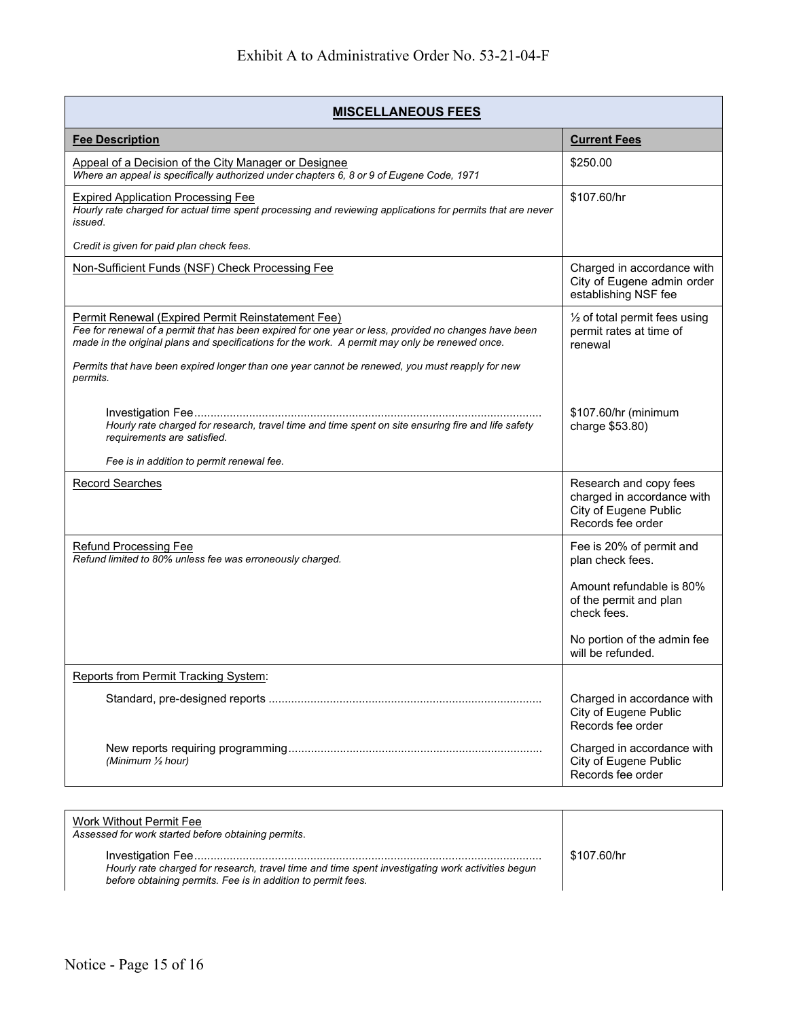| <b>MISCELLANEOUS FEES</b>                                                                                                                                                                                                                                    |                                                                                                    |
|--------------------------------------------------------------------------------------------------------------------------------------------------------------------------------------------------------------------------------------------------------------|----------------------------------------------------------------------------------------------------|
| <b>Fee Description</b>                                                                                                                                                                                                                                       | <b>Current Fees</b>                                                                                |
| Appeal of a Decision of the City Manager or Designee<br>Where an appeal is specifically authorized under chapters 6, 8 or 9 of Eugene Code, 1971                                                                                                             | \$250.00                                                                                           |
| <b>Expired Application Processing Fee</b><br>Hourly rate charged for actual time spent processing and reviewing applications for permits that are never<br>issued.                                                                                           | \$107.60/hr                                                                                        |
| Credit is given for paid plan check fees.                                                                                                                                                                                                                    |                                                                                                    |
| Non-Sufficient Funds (NSF) Check Processing Fee                                                                                                                                                                                                              | Charged in accordance with<br>City of Eugene admin order<br>establishing NSF fee                   |
| Permit Renewal (Expired Permit Reinstatement Fee)<br>Fee for renewal of a permit that has been expired for one year or less, provided no changes have been<br>made in the original plans and specifications for the work. A permit may only be renewed once. | $\frac{1}{2}$ of total permit fees using<br>permit rates at time of<br>renewal                     |
| Permits that have been expired longer than one year cannot be renewed, you must reapply for new<br>permits.                                                                                                                                                  |                                                                                                    |
| Hourly rate charged for research, travel time and time spent on site ensuring fire and life safety<br>requirements are satisfied.                                                                                                                            | \$107.60/hr (minimum<br>charge \$53.80)                                                            |
| Fee is in addition to permit renewal fee.                                                                                                                                                                                                                    |                                                                                                    |
| <b>Record Searches</b>                                                                                                                                                                                                                                       | Research and copy fees<br>charged in accordance with<br>City of Eugene Public<br>Records fee order |
| <b>Refund Processing Fee</b><br>Refund limited to 80% unless fee was erroneously charged.                                                                                                                                                                    | Fee is 20% of permit and<br>plan check fees.                                                       |
|                                                                                                                                                                                                                                                              | Amount refundable is 80%<br>of the permit and plan<br>check fees.                                  |
|                                                                                                                                                                                                                                                              | No portion of the admin fee<br>will be refunded.                                                   |
| <b>Reports from Permit Tracking System:</b>                                                                                                                                                                                                                  |                                                                                                    |
|                                                                                                                                                                                                                                                              | Charged in accordance with<br>City of Eugene Public<br>Records fee order                           |
| (Minimum 1/2 hour)                                                                                                                                                                                                                                           | Charged in accordance with<br>City of Eugene Public<br>Records fee order                           |

| Work Without Permit Fee<br>Assessed for work started before obtaining permits.                                                                                   |             |
|------------------------------------------------------------------------------------------------------------------------------------------------------------------|-------------|
| Hourly rate charged for research, travel time and time spent investigating work activities begun<br>before obtaining permits. Fee is in addition to permit fees. | \$107.60/hr |